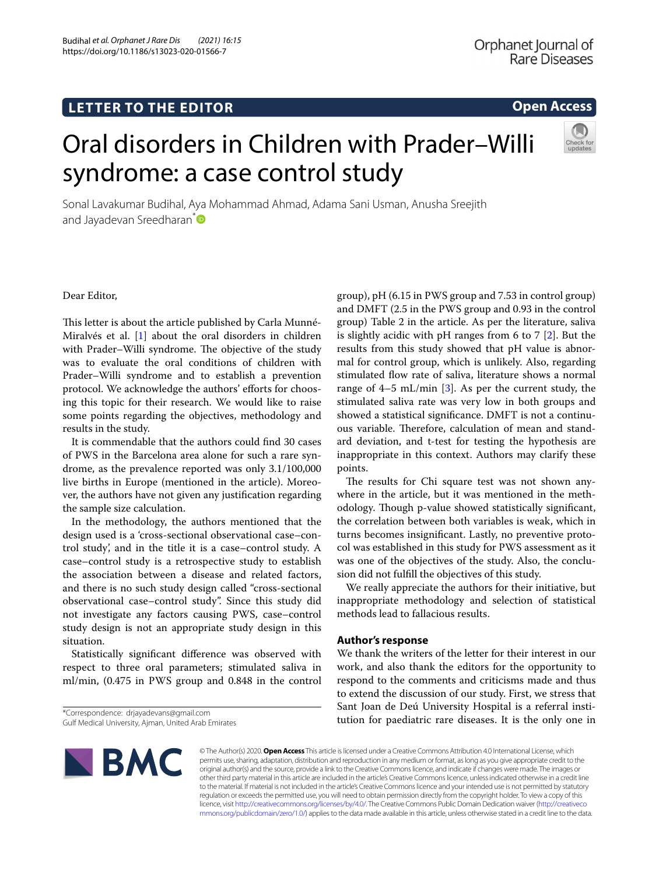# **LETTER TO THE EDITOR**

# **Open Access**

# Oral disorders in Children with Prader–Willi syndrome: a case control study



Sonal Lavakumar Budihal, Aya Mohammad Ahmad, Adama Sani Usman, Anusha Sreejith and Jayadevan Sreedharan<sup>[\\*](http://orcid.org/0000-0001-5350-2408)</sup>

Dear Editor,

This letter is about the article published by Carla Munné-Miralvés et al. [[1\]](#page-1-0) about the oral disorders in children with Prader–Willi syndrome. The objective of the study was to evaluate the oral conditions of children with Prader–Willi syndrome and to establish a prevention protocol. We acknowledge the authors' efforts for choosing this topic for their research. We would like to raise some points regarding the objectives, methodology and results in the study.

It is commendable that the authors could fnd 30 cases of PWS in the Barcelona area alone for such a rare syndrome, as the prevalence reported was only 3.1/100,000 live births in Europe (mentioned in the article). Moreover, the authors have not given any justifcation regarding the sample size calculation.

In the methodology, the authors mentioned that the design used is a 'cross-sectional observational case–control study', and in the title it is a case–control study. A case–control study is a retrospective study to establish the association between a disease and related factors, and there is no such study design called "cross-sectional observational case–control study". Since this study did not investigate any factors causing PWS, case–control study design is not an appropriate study design in this situation.

Statistically signifcant diference was observed with respect to three oral parameters; stimulated saliva in ml/min, (0.475 in PWS group and 0.848 in the control

group), pH (6.15 in PWS group and 7.53 in control group) and DMFT (2.5 in the PWS group and 0.93 in the control group) Table 2 in the article. As per the literature, saliva is slightly acidic with pH ranges from 6 to 7 [[2](#page-1-1)]. But the results from this study showed that pH value is abnormal for control group, which is unlikely. Also, regarding stimulated flow rate of saliva, literature shows a normal range of  $4-5$  mL/min [\[3](#page-1-2)]. As per the current study, the stimulated saliva rate was very low in both groups and showed a statistical signifcance. DMFT is not a continuous variable. Therefore, calculation of mean and standard deviation, and t-test for testing the hypothesis are inappropriate in this context. Authors may clarify these points.

The results for Chi square test was not shown anywhere in the article, but it was mentioned in the methodology. Though p-value showed statistically significant, the correlation between both variables is weak, which in turns becomes insignifcant. Lastly, no preventive protocol was established in this study for PWS assessment as it was one of the objectives of the study. Also, the conclusion did not fulfll the objectives of this study.

We really appreciate the authors for their initiative, but inappropriate methodology and selection of statistical methods lead to fallacious results.

# **Author's response**

We thank the writers of the letter for their interest in our work, and also thank the editors for the opportunity to respond to the comments and criticisms made and thus to extend the discussion of our study. First, we stress that Sant Joan de Deú University Hospital is a referral institution for paediatric rare diseases. It is the only one in



© The Author(s) 2020. **Open Access** This article is licensed under a Creative Commons Attribution 4.0 International License, which permits use, sharing, adaptation, distribution and reproduction in any medium or format, as long as you give appropriate credit to the original author(s) and the source, provide a link to the Creative Commons licence, and indicate if changes were made. The images or other third party material in this article are included in the article's Creative Commons licence, unless indicated otherwise in a credit line to the material. If material is not included in the article's Creative Commons licence and your intended use is not permitted by statutory regulation or exceeds the permitted use, you will need to obtain permission directly from the copyright holder. To view a copy of this licence, visit [http://creativecommons.org/licenses/by/4.0/.](http://creativecommons.org/licenses/by/4.0/) The Creative Commons Public Domain Dedication waiver ([http://creativeco](http://creativecommons.org/publicdomain/zero/1.0/) [mmons.org/publicdomain/zero/1.0/](http://creativecommons.org/publicdomain/zero/1.0/)) applies to the data made available in this article, unless otherwise stated in a credit line to the data.

<sup>\*</sup>Correspondence: drjayadevans@gmail.com Gulf Medical University, Ajman, United Arab Emirates